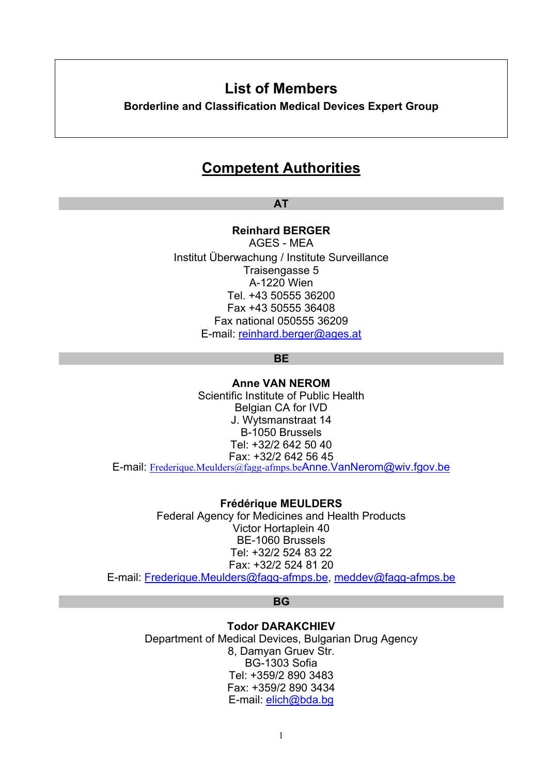# **List of Members**

**Borderline and Classification Medical Devices Expert Group** 

# **Competent Authorities**

**AT** 

**Reinhard BERGER** 

AGES - MEA Institut Überwachung / Institute Surveillance Traisengasse 5 A-1220 Wien Tel. +43 50555 36200 Fax +43 50555 36408 Fax national 050555 36209 E-mail: [reinhard.berger@ages.at](mailto:reinhard.berger@ages.at)

**BE** 

**Anne VAN NEROM**  Scientific Institute of Public Health Belgian CA for IVD J. Wytsmanstraat 14 B-1050 Brussels Tel: +32/2 642 50 40 Fax: +32/2 642 56 45 E-mail: [Frederique.Meulders@fagg-afmps.be](mailto:Frederique.Meulders@fagg-afmps.be)[Anne.VanNerom@wiv.fgov.be](mailto:Anne.VanNerom@wiv.fgov.be)

**Frédérique MEULDERS**  Federal Agency for Medicines and Health Products Victor Hortaplein 40 BE-1060 Brussels Tel: +32/2 524 83 22 Fax: +32/2 524 81 20

E-mail[: Frederique.Meulders@fagg-afmps.be,](mailto:Frederique.Meulders@fagg-afmps.be) [meddev@fagg-afmps.be](mailto:meddev@fagg-afmps.be)

**BG** 

**Todor DARAKCHIEV**  Department of Medical Devices, Bulgarian Drug Agency 8, Damyan Gruev Str. BG-1303 Sofia Tel: +359/2 890 3483 Fax: +359/2 890 3434 E-mail[: elich@bda.bg](mailto:elich@bda.bg)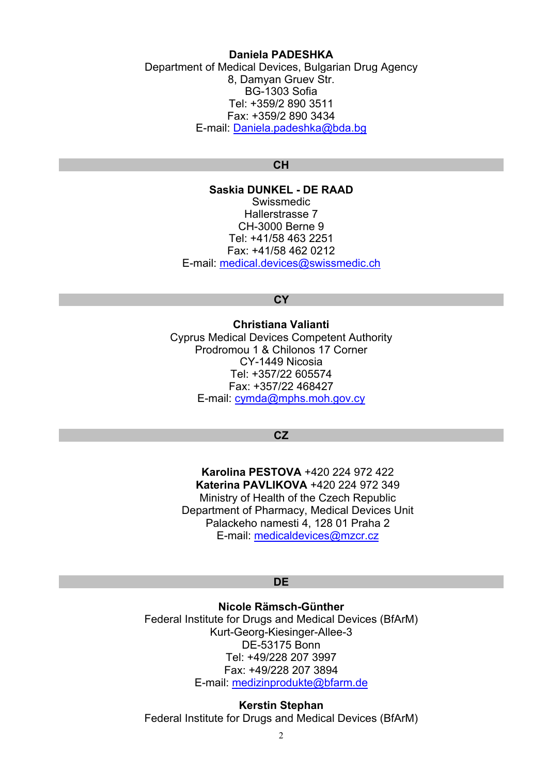## **Daniela PADESHKA**

Department of Medical Devices, Bulgarian Drug Agency 8, Damyan Gruev Str. BG-1303 Sofia Tel: +359/2 890 3511 Fax: +359/2 890 3434 E-mail[: Daniela.padeshka@bda.bg](mailto:Daniela.padeshka@bda.bg)

## **CH**

**Saskia DUNKEL - DE RAAD**  Swissmedic Hallerstrasse 7 CH-3000 Berne 9 Tel: +41/58 463 2251 Fax: +41/58 462 0212 E-mail[: medical.devices@swissmedic.ch](mailto:medical.devices@swissmedic.ch)

# **CY**

**Christiana Valianti**  Cyprus Medical Devices Competent Authority Prodromou 1 & Chilonos 17 Corner CY-1449 Nicosia Tel: +357/22 605574 Fax: +357/22 468427 E-mail: [cymda@mphs.moh.gov.cy](mailto:cymda@mphs.moh.gov.cy)

### **CZ**

**Karolina PESTOVA** +420 224 972 422 **Katerina PAVLIKOVA** +420 224 972 349 Ministry of Health of the Czech Republic Department of Pharmacy, Medical Devices Unit Palackeho namesti 4, 128 01 Praha 2 E-mail: [medicaldevices@mzcr.cz](mailto:medicaldevices@mzcr.cz)

## **DE**

**Nicole Rämsch-Günther**  Federal Institute for Drugs and Medical Devices (BfArM) Kurt-Georg-Kiesinger-Allee-3 DE-53175 Bonn Tel: +49/228 207 3997 Fax: +49/228 207 3894 E-mail[: medizinprodukte@bfarm.de](mailto:medizinprodukte@bfarm.de)

**Kerstin Stephan**  Federal Institute for Drugs and Medical Devices (BfArM)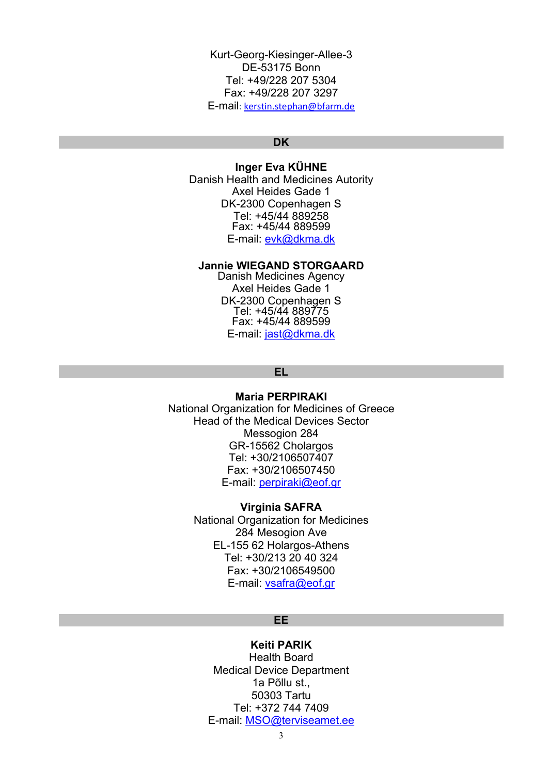Kurt-Georg-Kiesinger-Allee-3 DE-53175 Bonn Tel: +49/228 207 5304 Fax: +49/228 207 3297 E-mail[: kerstin.stephan@bfarm.de](mailto:kerstin.stephan@bfarm.de)

#### **DK**

# **Inger Eva KÜHNE**

Danish Health and Medicines Autority Axel Heides Gade 1 DK-2300 Copenhagen S Tel: +45/44 889258 Fax: +45/44 889599 E-mail: [evk@dkma.dk](mailto:evk@dkma.dk)

#### **Jannie WIEGAND STORGAARD**

Danish Medicines Agency Axel Heides Gade 1 DK-2300 Copenhagen S Tel: +45/44 889775 Fax: +45/44 889599 E-mail: [jast@dkma.dk](mailto:jast@dkma.dk)

## **EL**

## **Maria PERPIRAKI**

National Organization for Medicines of Greece Head of the Medical Devices Sector Messogion 284 GR-15562 Cholargos Tel: +30/2106507407 Fax: +30/2106507450 E-mail[: perpiraki@eof.gr](mailto:perpiraki@eof.gr)

#### **Virginia SAFRA**

National Organization for Medicines 284 Mesogion Ave EL-155 62 Holargos-Athens Tel: +30/213 20 40 324 Fax: +30/2106549500 E-mail: [vsafra@eof.gr](mailto:vsafra@eof.gr)

## **EE**

# **Keiti PARIK**

Health Board Medical Device Department 1a Põllu st., 50303 Tartu Tel: +372 744 7409 E-mail: MSO@terviseamet.ee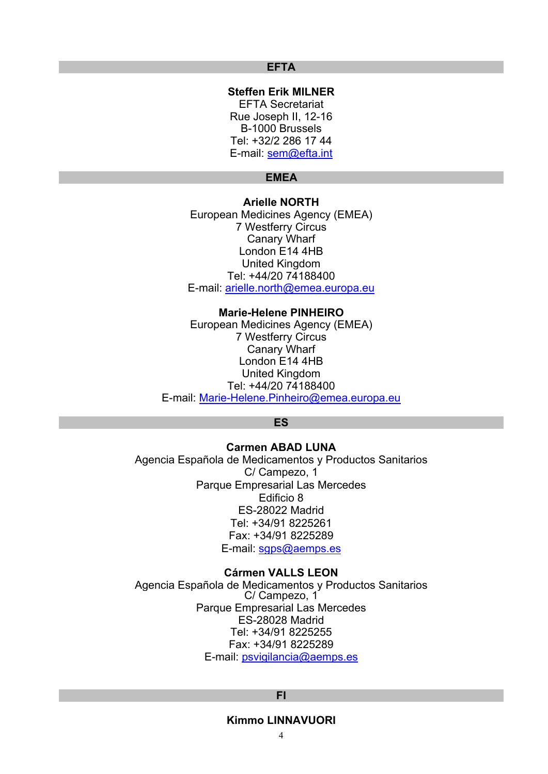## **EFTA**

**Steffen Erik MILNER**  EFTA Secretariat Rue Joseph II, 12-16 B-1000 Brussels Tel: +32/2 286 17 44 E-mail[: sem@efta.int](mailto:sem@efta.int)

# **EMEA**

## **Arielle NORTH**

European Medicines Agency (EMEA) 7 Westferry Circus Canary Wharf London E14 4HB United Kingdom Tel: +44/20 74188400 E-mail[: arielle.north@emea.europa.eu](mailto:arielle.north@emea.europa.eu)

#### **Marie-Helene PINHEIRO**

European Medicines Agency (EMEA) 7 Westferry Circus Canary Wharf London E14 4HB United Kingdom Tel: +44/20 74188400 E-mail[: Marie-Helene.Pinheiro@emea.europa.eu](mailto:Marie-Helene.Pinheiro@emea.europa.eu)

#### **ES**

# **Carmen ABAD LUNA**  Agencia Española de Medicamentos y Productos Sanitarios C/ Campezo, 1 Parque Empresarial Las Mercedes Edificio 8 ES-28022 Madrid Tel: +34/91 8225261 Fax: +34/91 8225289 E-mail: [sgps@aemps.es](mailto:sgps@aemps.es)

#### **Cármen VALLS LEON**

Agencia Española de Medicamentos y Productos Sanitarios C/ Campezo, 1 Parque Empresarial Las Mercedes ES-28028 Madrid Tel: +34/91 8225255 Fax: +34/91 8225289 E-mail[: psvigilancia@aemps.es](mailto:psvigilancia@agemed.es)

## **FI**

### **Kimmo LINNAVUORI**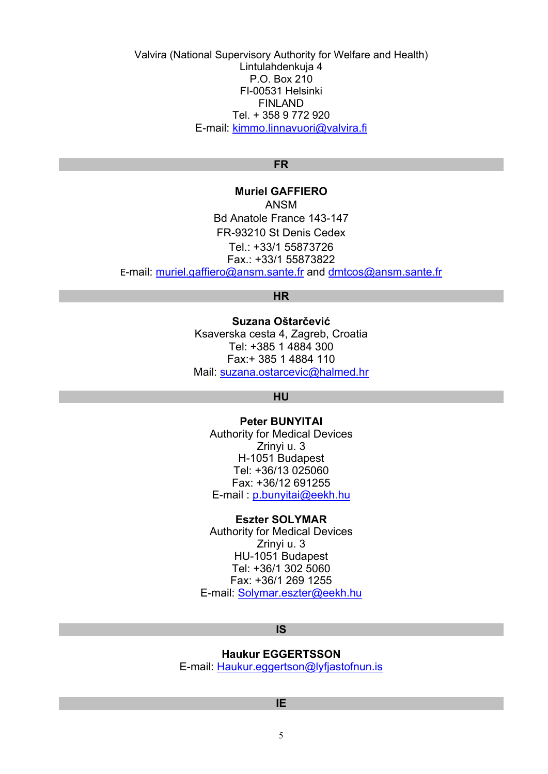Valvira (National Supervisory Authority for Welfare and Health) Lintulahdenkuja 4 P.O. Box 210 FI-00531 Helsinki FINLAND Tel. + 358 9 772 920 E-mail[: kimmo.linnavuori@valvira.fi](mailto:kimmo.linnavuori@valvira.fi)

## **FR**

**Muriel GAFFIERO**  ANSM Bd Anatole France 143-147 FR-93210 St Denis Cedex Tel.: +33/1 55873726 Fax.: +33/1 55873822 E-mail[: muriel.gaffiero@ansm.sante.fr a](mailto:muriel.gaffiero@ansm.sante.fr)nd [dmtcos@ansm.sante.fr](mailto:dmtcos@ansm.sante.fr)

## **HR**

**Suzana Oštarčević**  Ksaverska cesta 4, Zagreb, Croatia Tel: +385 1 4884 300 Fax:+ 385 1 4884 110 Mail[: suzana.ostarcevic@halmed.hr](mailto:suzana.ostarcevic@halmed.hr)

## **HU**

**Peter BUNYITAI**  Authority for Medical Devices Zrinyi u. 3 H-1051 Budapest Tel: +36/13 025060 Fax: +36/12 691255 E-mail [: p.bunyitai@eekh.hu](mailto:p.bunyitai@eekh.hu)

#### **Eszter SOLYMAR**

Authority for Medical Devices Zrinyi u. 3 HU-1051 Budapest Tel: +36/1 302 5060 Fax: +36/1 269 1255 E-mail[: Solymar.eszter@eekh.hu](mailto:Solymar.eszter@eekh.hu)

#### **IS**

## **Haukur EGGERTSSON**

E-mail[: Haukur.eggertson@lyfjastofnun.is](mailto:Haukur.eggertson@lyfjastofnun.is)

#### **IE**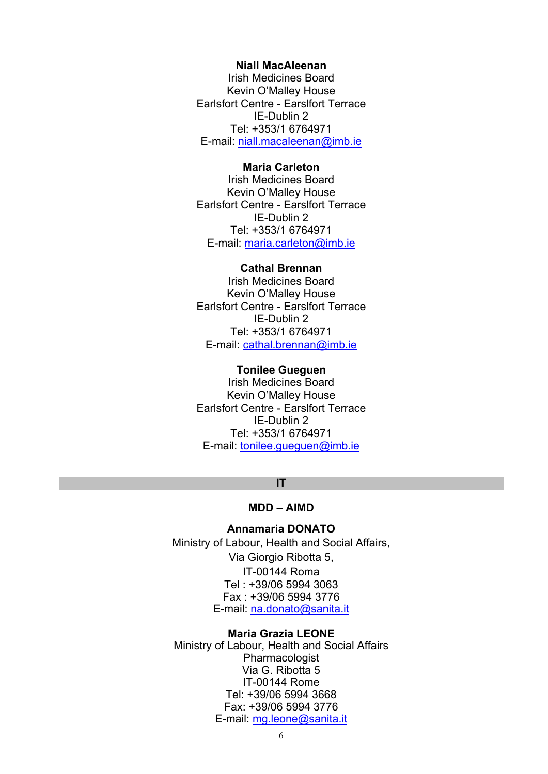#### **Niall MacAleenan**

Irish Medicines Board Kevin O'Malley House Earlsfort Centre - Earslfort Terrace IE-Dublin 2 Tel: +353/1 6764971 E-mail[: niall.macaleenan@imb.ie](mailto:niall.macaleenan@imb.ie) 

## **Maria Carleton**

Irish Medicines Board Kevin O'Malley House Earlsfort Centre - Earslfort Terrace IE-Dublin 2 Tel: +353/1 6764971 E-mail: [maria.carleton@imb.ie](mailto:maria.carleton@imb.ie) 

## **Cathal Brennan**

Irish Medicines Board Kevin O'Malley House Earlsfort Centre - Earslfort Terrace IE-Dublin 2 Tel: +353/1 6764971 E-mail[: cathal.brennan@imb.ie](mailto:cathal.brennan@imb.ie) 

# **Tonilee Gueguen**

Irish Medicines Board Kevin O'Malley House Earlsfort Centre - Earslfort Terrace IE-Dublin 2 Tel: +353/1 6764971 E-mail: tonilee.gueguen@imb.ie

#### **IT**

# **MDD – AIMD**

## **Annamaria DONATO**

Ministry of Labour, Health and Social Affairs, Via Giorgio Ribotta 5, IT-00144 Roma Tel : +39/06 5994 3063 Fax : +39/06 5994 3776 E-mail[: na.donato@sanita.it](mailto:na.donato@sanita.it)

#### **Maria Grazia LEONE**

Ministry of Labour, Health and Social Affairs Pharmacologist Via G. Ribotta 5 IT-00144 Rome Tel: +39/06 5994 3668 Fax: +39/06 5994 3776 E-mail: mg.leone@sanita.it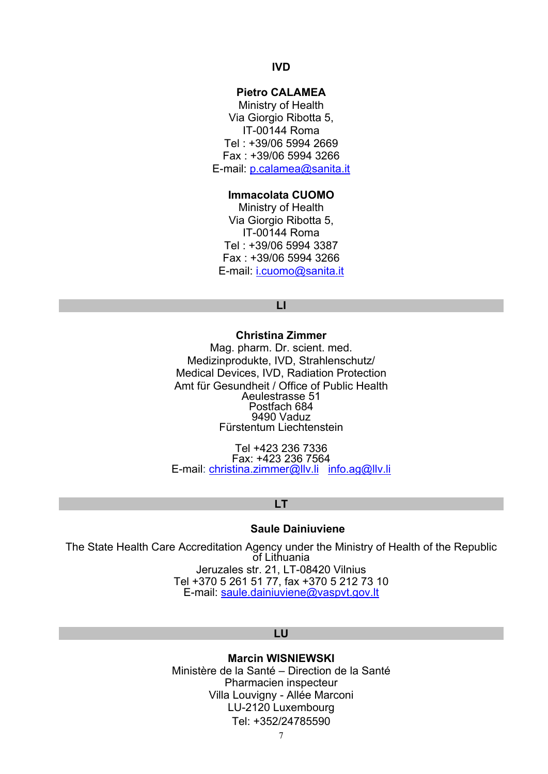# **IVD**

# **Pietro CALAMEA**

Ministry of Health Via Giorgio Ribotta 5, IT-00144 Roma Tel : +39/06 5994 2669 Fax : +39/06 5994 3266 E-mail[: p.calamea@sanita.it](mailto:p.calamea@sanita.it) 

#### **Immacolata CUOMO**

Ministry of Health Via Giorgio Ribotta 5, IT-00144 Roma Tel : +39/06 5994 3387 Fax : +39/06 5994 3266 E-mail: [i.cuomo@sanita.it](mailto:i.cuomo@sanita.it) 

## **LI**

**Christina Zimmer**  Mag. pharm. Dr. scient. med. Medizinprodukte, IVD, Strahlenschutz/ Medical Devices, IVD, Radiation Protection Amt für Gesundheit / Office of Public Health Aeulestrasse 51 Postfach 684 9490 Vaduz Fürstentum Liechtenstein

Tel +423 236 7336 Fax: +423 236 7564 E-mail[: christina.zimmer@llv.li](mailto:christina.zimmer@ag.llv.li) [info.ag@llv.li](mailto:info.ag@llv.li)

#### **LT**

## **Saule Dainiuviene**

The State Health Care Accreditation Agency under the Ministry of Health of the Republic of Lithuania Jeruzales str. 21, LT-08420 Vilnius Tel +370 5 261 51 77, fax +370 5 212 73 10 E-mail[: saule.dainiuviene@vaspvt.gov.lt](mailto:saule.dainiuviene@vaspvt.gov.lt) 

#### **LU**

## **Marcin WISNIEWSKI**

Ministère de la Santé – Direction de la Santé Pharmacien inspecteur Villa Louvigny - Allée Marconi LU-2120 Luxembourg Tel: +352/24785590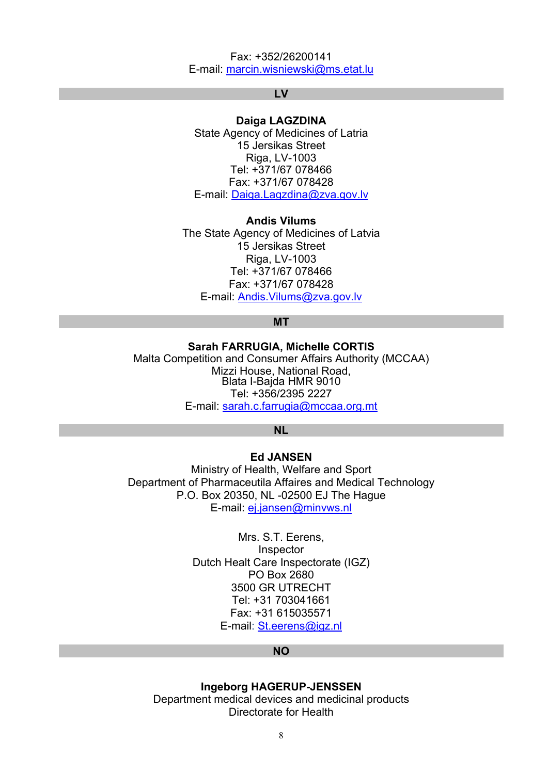## Fax: +352/26200141 E-mail[: marcin.wisniewski@ms.etat.lu](mailto:marcin.wisniewski@ms.etat.lu)

## **LV**

## **Daiga LAGZDINA**

State Agency of Medicines of Latria 15 Jersikas Street Riga, LV-1003 Tel: +371/67 078466 Fax: +371/67 078428 E-mail[: Daiga.Lagzdina@zva.gov.lv](mailto:Daiga.Lagzdina@zva.gov.lv)

## **Andis Vilums**

The State Agency of Medicines of Latvia 15 Jersikas Street Riga, LV-1003 Tel: +371/67 078466 Fax: +371/67 078428 E-mail[: Andis.Vilums@zva.gov.lv](mailto:Andis.Vilums@zva.gov.lv)

# **MT**

**Sarah FARRUGIA, Michelle CORTIS**  Malta Competition and Consumer Affairs Authority (MCCAA) Mizzi House, National Road, Blata I-Bajda HMR 9010 Tel: +356/2395 2227 E-mail: [sarah.c.farrugia@mccaa.org.mt](mailto:flavia.zammit@mccaa.org.mt)

## **NL**

## **Ed JANSEN**

Ministry of Health, Welfare and Sport Department of Pharmaceutila Affaires and Medical Technology P.O. Box 20350, NL -02500 EJ The Hague E-mail[: ej.jansen@minvws.nl](mailto:ej.jansen@minvws.nl)

> Mrs. S.T. Eerens, Inspector Dutch Healt Care Inspectorate (IGZ) PO Box 2680 3500 GR UTRECHT Tel: +31 703041661 Fax: +31 615035571 E-mail[: St.eerens@igz.nl](mailto:St.eerens@igz.nl)

#### **NO**

#### **Ingeborg HAGERUP-JENSSEN**

Department medical devices and medicinal products Directorate for Health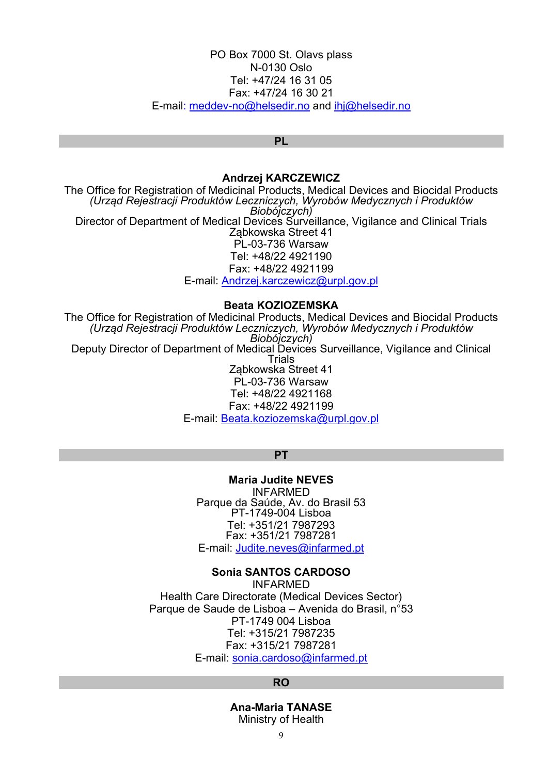## PO Box 7000 St. Olavs plass N-0130 Oslo Tel: +47/24 16 31 05 Fax: +47/24 16 30 21 E-mai[l: meddev-no@helsedir.no](mailto:meddev-no@helsedir.no) and [ihj@helsedir.no](mailto:ihj@helsedir.no)

#### **PL**

#### **Andrzej KARCZEWICZ**

The Office for Registration of Medicinal Products, Medical Devices and Biocidal Products *(Urząd Rejestracji Produktów Leczniczych, Wyrobów Medycznych i Produktów Biobójczych)* Director of Department of Medical Devices Surveillance, Vigilance and Clinical Trials Ząbkowska Street 41 PL-03-736 Warsaw Tel: +48/22 4921190 Fax: +48/22 4921199 E-mail[: Andrzej.karczewicz@urpl.gov.pl](mailto:Andrzej.karczewicz@urpl.gov.pl)

#### **Beata KOZIOZEMSKA**

The Office for Registration of Medicinal Products, Medical Devices and Biocidal Products *(Urząd Rejestracji Produktów Leczniczych, Wyrobów Medycznych i Produktów Biobójczych)* Deputy Director of Department of Medical Devices Surveillance, Vigilance and Clinical Trials Ząbkowska Street 41 PL-03-736 Warsaw Tel: +48/22 4921168 Fax: +48/22 4921199 E-mail[: Beata.koziozemska@urpl.gov.pl](mailto:Beata.koziozemska@urpl.gov.pl)

#### **PT**

**Maria Judite NEVES**  INFARMED Parque da Saúde, Av. do Brasil 53 PT-1749-004 Lisboa Tel: +351/21 7987293 Fax: +351/21 7987281

E-mail[: Judite.neves@infarmed.pt](mailto:Judite.neves@infarmed.pt)

## **Sonia SANTOS CARDOSO**

INFARMED Health Care Directorate (Medical Devices Sector) Parque de Saude de Lisboa – Avenida do Brasil, n°53 PT-1749 004 Lisboa Tel: +315/21 7987235 Fax: +315/21 7987281 E-mail[: sonia.cardoso@infarmed.pt](mailto:sonia.cardoso@infarmed.pt)

#### **RO**

**Ana-Maria TANASE**  Ministry of Health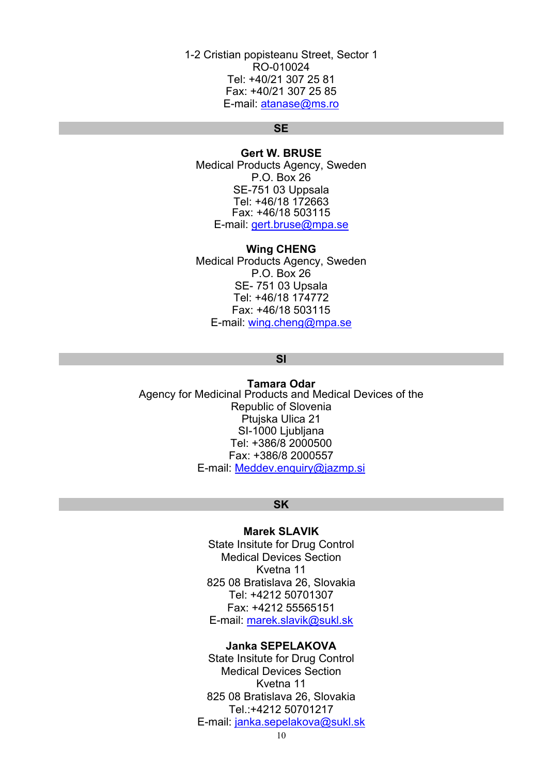1-2 Cristian popisteanu Street, Sector 1 RO-010024 Tel: +40/21 307 25 81 Fax: +40/21 307 25 85 E-mail: [atanase@ms.ro](mailto:atanase@ms.ro)

## **SE**

**Gert W. BRUSE**  Medical Products Agency, Sweden P.O. Box 26 SE-751 03 Uppsala Tel: +46/18 172663 Fax: +46/18 503115 E-mail: [gert.bruse@mpa.se](mailto:gert.bruse@mpa.se)

#### **Wing CHENG**

Medical Products Agency, Sweden P.O. Box 26 SE- 751 03 Upsala Tel: +46/18 174772 Fax: +46/18 503115 E-mail[: wing.cheng@mpa.se](mailto:wing.cheng@mpa.se)

## **SI**

**Tamara Odar <br>Agency for Medicinal Products and Medical Devices of the** Republic of Slovenia Ptujska Ulica 21 SI-1000 Ljubljana Tel: +386/8 2000500 Fax: +386/8 2000557 E-mail[: Meddev.enquiry@jazmp.si](mailto:Meddev.enquiry@jazmp.si)

### **SK**

#### **Marek SLAVIK**

State Insitute for Drug Control Medical Devices Section Kvetna 11 825 08 Bratislava 26, Slovakia Tel: +4212 50701307 Fax: +4212 55565151 E-mail: marek.slavik@sukl.sk

## **Janka SEPELAKOVA**

State Insitute for Drug Control Medical Devices Section Kvetna 11 825 08 Bratislava 26, Slovakia Tel.:+4212 50701217 E-mail: janka.sepelakova@sukl.sk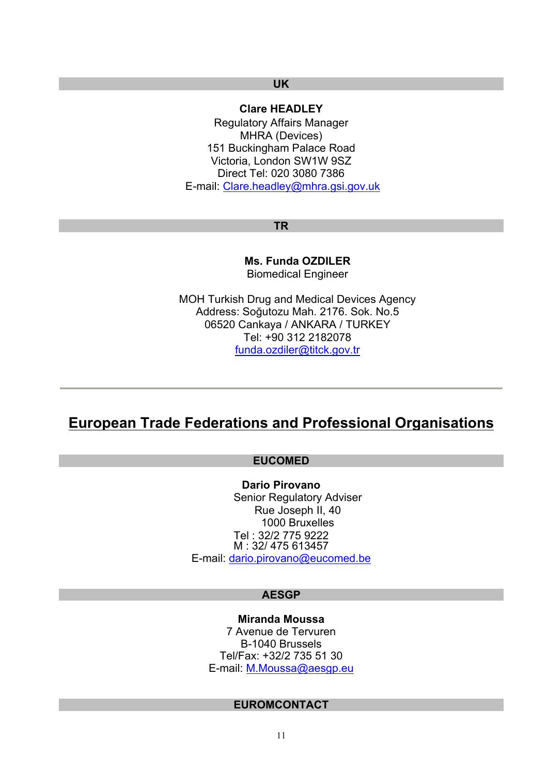## **UK**

# **Clare HEADLEY**

Regulatory Affairs Manager MHRA (Devices) 151 Buckingham Palace Road Victoria, London SW1W 9SZ Direct Tel: 020 3080 7386 E-mail[: Clare.headley@mhra.gsi.gov.uk](mailto:Clare.headley@mhra.gsi.gov.uk)

#### **TR**

**Ms. Funda OZDILER**  Biomedical Engineer

MOH Turkish Drug and Medical Devices Agency Address: Soğutozu Mah. 2176. Sok. No.5 06520 Cankaya / ANKARA / TURKEY Tel: +90 312 2182078 [funda.ozdiler@titck.gov.tr](mailto:funda.ozdiler@iegm.gov.tr) 

# **European Trade Federations and Professional Organisations**

# **EUCOMED**

**Dario Pirovano**  Senior Regulatory Adviser Rue Joseph II, 40 1000 Bruxelles Tel : 32/2 775 9222 M : 32/ 475 613457 E-mail[: dario.pirovano@eucomed.be](mailto:dario.pirovano@eucomed.be)

#### **AESGP**

**Miranda Moussa**  7 Avenue de Tervuren B-1040 Brussels Tel/Fax: +32/2 735 51 30 E-mail[: M.Moussa@aesgp.eu](mailto:M.Moussa@aesgp.eu)

## **EUROMCONTACT**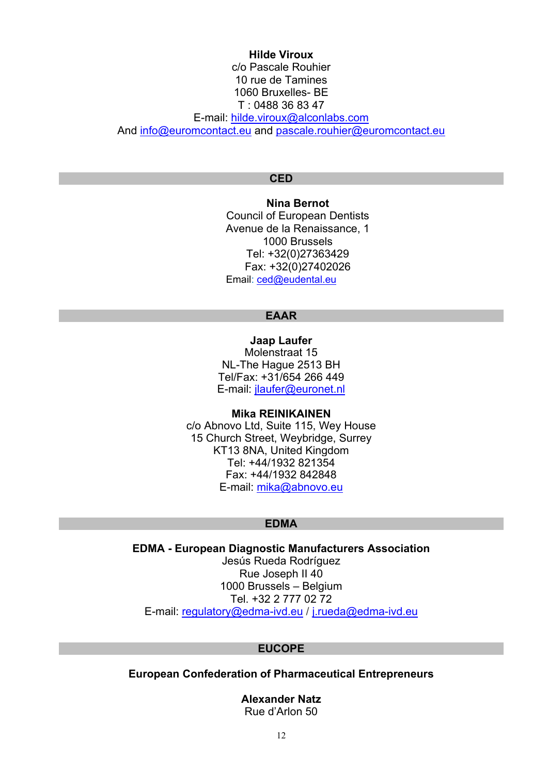# **Hilde Viroux** c/o Pascale Rouhier 10 rue de Tamines 1060 Bruxelles- BE T : 0488 36 83 47 E-mail[: hilde.viroux@alconlabs.com](mailto:hilde.viroux@alconlabs.com) An[d info@euromcontact.eu](mailto:info@euromcontact.eu) and [pascale.rouhier@euromcontact.eu](mailto:pascale.rouhier@euromcontact.eu)

## **CED**

**Nina Bernot**  Council of European Dentists Avenue de la Renaissance, 1 1000 Brussels Tel: +32(0)27363429 Fax: +32(0)27402026 Email: [ced@eudental.eu](mailto:ced@eudental.eu)

## **EAAR**

**Jaap Laufer**  Molenstraat 15 NL-The Hague 2513 BH Tel/Fax: +31/654 266 449 E-mail[: jlaufer@euronet.nl](mailto:jlaufer@euronet.nl)

## **Mika REINIKAINEN**

c/o Abnovo Ltd, Suite 115, Wey House 15 Church Street, Weybridge, Surrey KT13 8NA, United Kingdom Tel: +44/1932 821354 Fax: +44/1932 842848 E-mail[: mika@abnovo.eu](mailto:mika@abnovo.eu)

## **EDMA**

**EDMA - European Diagnostic Manufacturers Association**  Jesús Rueda Rodríguez Rue Joseph II 40 1000 Brussels – Belgium Tel. +32 2 777 02 72 E-mail[: regulatory@edma-ivd.eu /](mailto:regulatory@edma-ivd.eu) [j.rueda@edma-ivd.eu](mailto:j.rueda@edma-ivd.eu)

## **EUCOPE**

**European Confederation of Pharmaceutical Entrepreneurs** 

**Alexander Natz**  Rue d'Arlon 50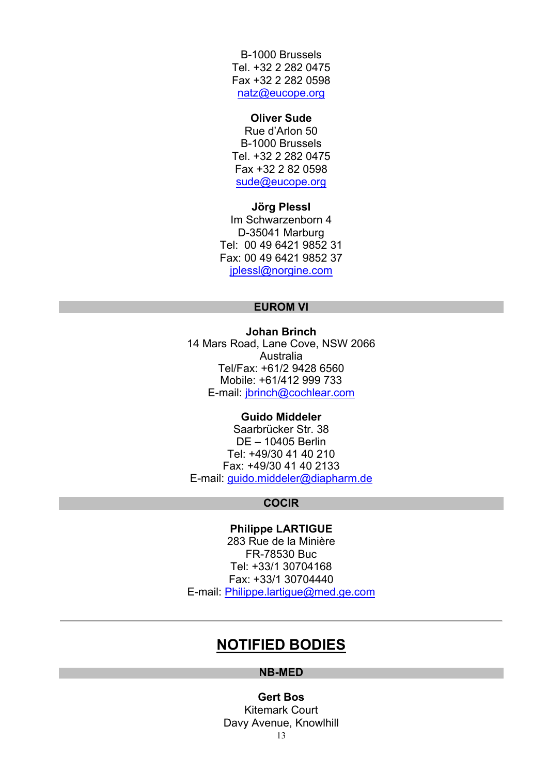B-1000 Brussels Tel. +32 2 282 0475 Fax +32 2 282 0598 [natz@eucope.org](mailto:natz@eucope.org)

#### **Oliver Sude**

Rue d'Arlon 50 B-1000 Brussels Tel. +32 2 282 0475 Fax +32 2 82 0598 [sude@eucope.org](mailto:sude@eucope.org)

**Jörg Plessl**  Im Schwarzenborn 4 D-35041 Marburg Tel: 00 49 6421 9852 31 Fax: 00 49 6421 9852 37 [jplessl@norgine.com](mailto:jplessl@norgine.com)

## **EUROM VI**

**Johan Brinch**  14 Mars Road, Lane Cove, NSW 2066 Australia Tel/Fax: +61/2 9428 6560 Mobile: +61/412 999 733 E-mail[: jbrinch@cochlear.com](mailto:jbrinch@cochlear.com)

## **Guido Middeler**

Saarbrücker Str. 38 DE – 10405 Berlin Tel: +49/30 41 40 210 Fax: +49/30 41 40 2133 E-mail[: guido.middeler@diapharm.de](mailto:guido.middeler@diapharm.de)

## **COCIR**

### **Philippe LARTIGUE**

283 Rue de la Minière FR-78530 Buc Tel: +33/1 30704168 Fax: +33/1 30704440 E-mail[: Philippe.lartigue@med.ge.com](mailto:Philippe.lartigue@med.ge.com)

# **NOTIFIED BODIES**

## **NB-MED**

**Gert Bos** Kitemark Court Davy Avenue, Knowlhill